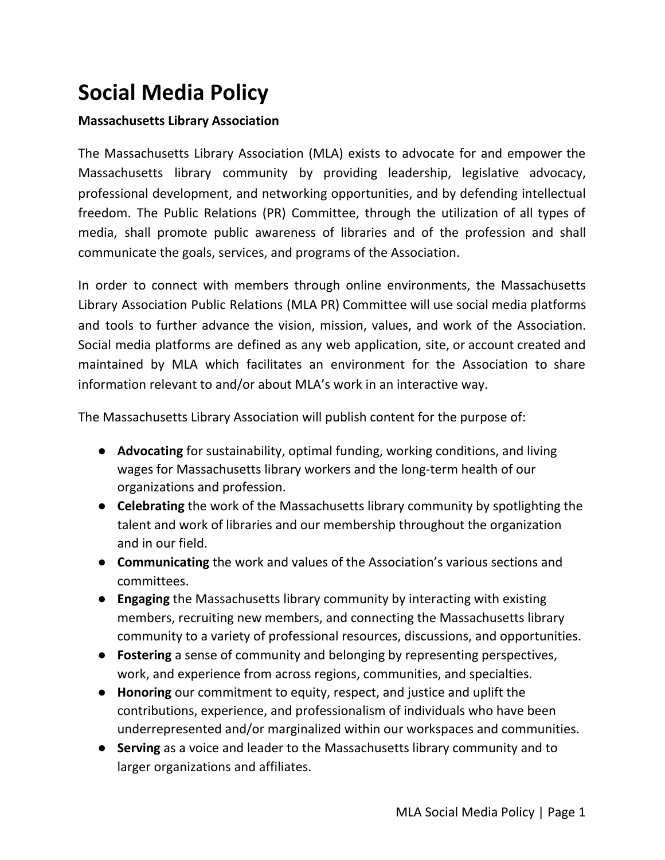# **Social Media Policy**

#### **Massachusetts Library Association**

The Massachusetts Library Association (MLA) exists to advocate for and empower the Massachusetts library community by providing leadership, legislative advocacy, professional development, and networking opportunities, and by defending intellectual freedom. The Public Relations (PR) Committee, through the utilization of all types of media, shall promote public awareness of libraries and of the profession and shall communicate the goals, services, and programs of the Association.

In order to connect with members through online environments, the Massachusetts Library Association Public Relations (MLA PR) Committee will use social media platforms and tools to further advance the vision, mission, values, and work of the Association. Social media platforms are defined as any web application, site, or account created and maintained by MLA which facilitates an environment for the Association to share information relevant to and/or about MLA's work in an interactive way.

The Massachusetts Library Association will publish content for the purpose of:

- **● Advocating** for sustainability, optimal funding, working conditions, and living wages for Massachusetts library workers and the long-term health of our organizations and profession.
- **Celebrating** the work of the Massachusetts library community by spotlighting the talent and work of libraries and our membership throughout the organization and in our field.
- **Communicating** the work and values of the Association's various sections and committees.
- **Engaging** the Massachusetts library community by interacting with existing members, recruiting new members, and connecting the Massachusetts library community to a variety of professional resources, discussions, and opportunities.
- **Fostering** a sense of community and belonging by representing perspectives, work, and experience from across regions, communities, and specialties.
- **● Honoring** our commitment to equity, respect, and justice and uplift the contributions, experience, and professionalism of individuals who have been underrepresented and/or marginalized within our workspaces and communities.
- **Serving** as a voice and leader to the Massachusetts library community and to larger organizations and affiliates.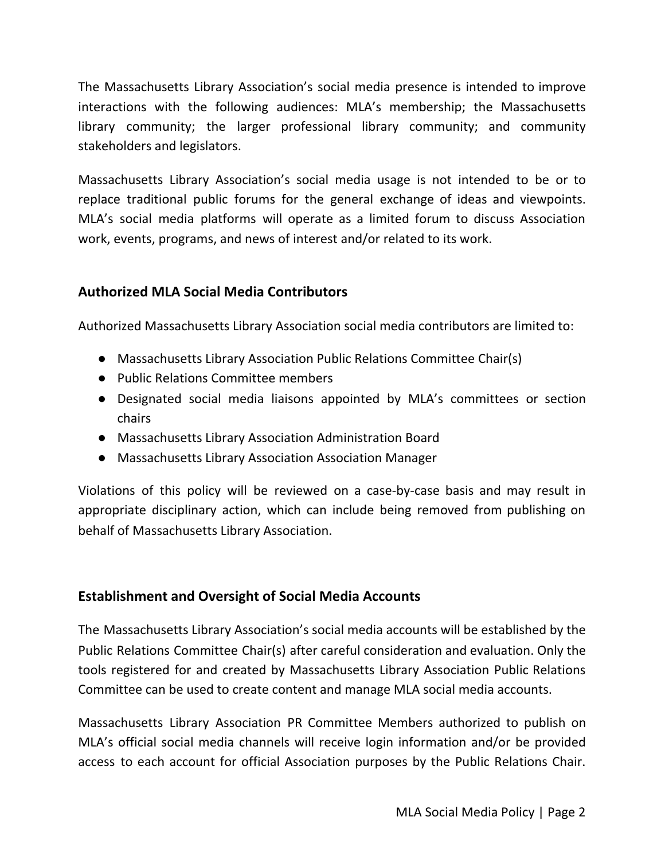The Massachusetts Library Association's social media presence is intended to improve interactions with the following audiences: MLA's membership; the Massachusetts library community; the larger professional library community; and community stakeholders and legislators.

Massachusetts Library Association's social media usage is not intended to be or to replace traditional public forums for the general exchange of ideas and viewpoints. MLA's social media platforms will operate as a limited forum to discuss Association work, events, programs, and news of interest and/or related to its work.

# **Authorized MLA Social Media Contributors**

Authorized Massachusetts Library Association social media contributors are limited to:

- Massachusetts Library Association Public Relations Committee Chair(s)
- Public Relations Committee members
- Designated social media liaisons appointed by MLA's committees or section chairs
- Massachusetts Library Association Administration Board
- Massachusetts Library Association Association Manager

Violations of this policy will be reviewed on a case-by-case basis and may result in appropriate disciplinary action, which can include being removed from publishing on behalf of Massachusetts Library Association.

# **Establishment and Oversight of Social Media Accounts**

The Massachusetts Library Association's social media accounts will be established by the Public Relations Committee Chair(s) after careful consideration and evaluation. Only the tools registered for and created by Massachusetts Library Association Public Relations Committee can be used to create content and manage MLA social media accounts.

Massachusetts Library Association PR Committee Members authorized to publish on MLA's official social media channels will receive login information and/or be provided access to each account for official Association purposes by the Public Relations Chair.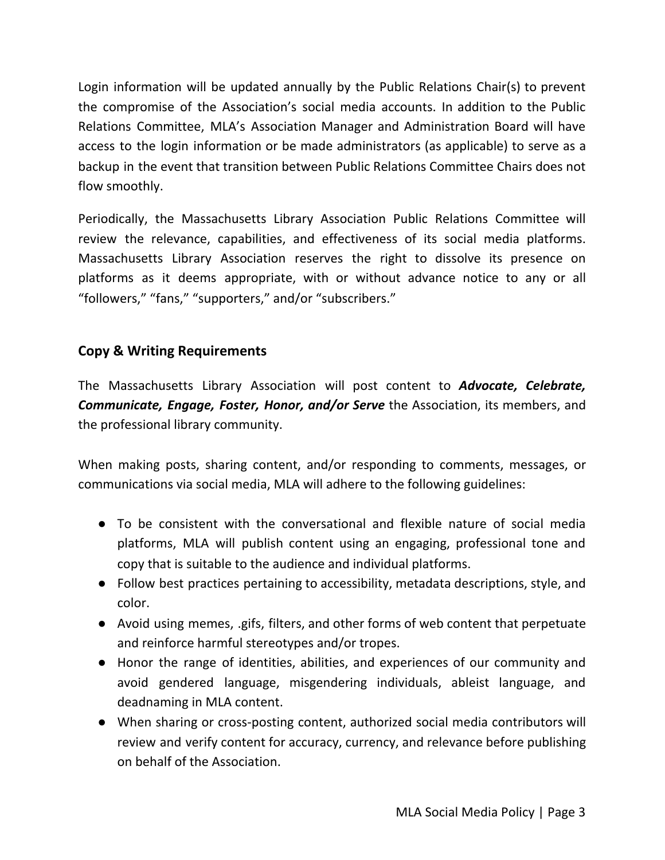Login information will be updated annually by the Public Relations Chair(s) to prevent the compromise of the Association's social media accounts. In addition to the Public Relations Committee, MLA's Association Manager and Administration Board will have access to the login information or be made administrators (as applicable) to serve as a backup in the event that transition between Public Relations Committee Chairs does not flow smoothly.

Periodically, the Massachusetts Library Association Public Relations Committee will review the relevance, capabilities, and effectiveness of its social media platforms. Massachusetts Library Association reserves the right to dissolve its presence on platforms as it deems appropriate, with or without advance notice to any or all "followers," "fans," "supporters," and/or "subscribers."

# **Copy & Writing Requirements**

The Massachusetts Library Association will post content to *Advocate, Celebrate, Communicate, Engage, Foster, Honor, and/or Serve* the Association, its members, and the professional library community.

When making posts, sharing content, and/or responding to comments, messages, or communications via social media, MLA will adhere to the following guidelines:

- To be consistent with the conversational and flexible nature of social media platforms, MLA will publish content using an engaging, professional tone and copy that is suitable to the audience and individual platforms.
- Follow best practices pertaining to accessibility, metadata descriptions, style, and color.
- Avoid using memes, .gifs, filters, and other forms of web content that perpetuate and reinforce harmful stereotypes and/or tropes.
- Honor the range of identities, abilities, and experiences of our community and avoid gendered language, misgendering individuals, ableist language, and deadnaming in MLA content.
- When sharing or cross-posting content, authorized social media contributors will review and verify content for accuracy, currency, and relevance before publishing on behalf of the Association.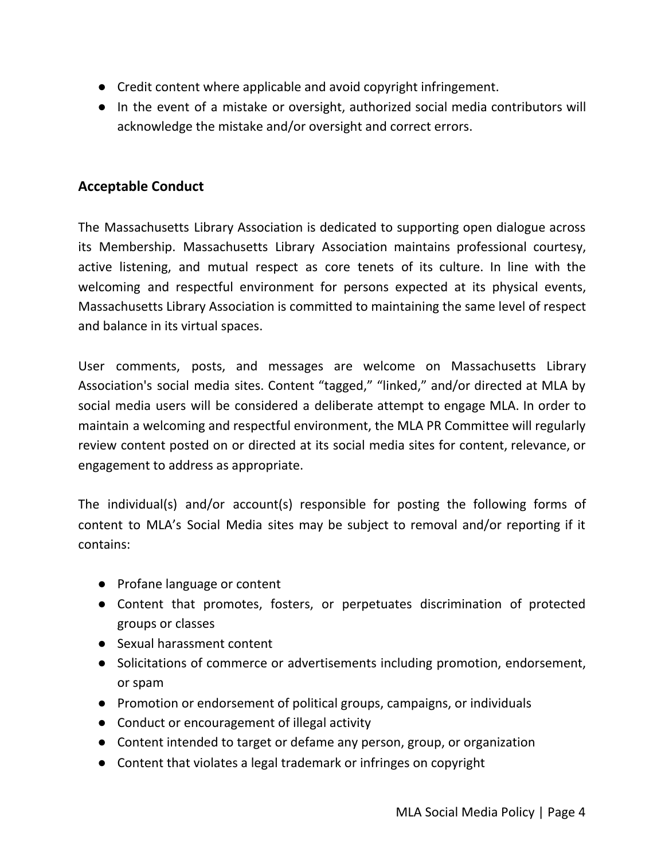- Credit content where applicable and avoid copyright infringement.
- In the event of a mistake or oversight, authorized social media contributors will acknowledge the mistake and/or oversight and correct errors.

# **Acceptable Conduct**

The Massachusetts Library Association is dedicated to supporting open dialogue across its Membership. Massachusetts Library Association maintains professional courtesy, active listening, and mutual respect as core tenets of its culture. In line with the welcoming and respectful environment for persons expected at its physical events, Massachusetts Library Association is committed to maintaining the same level of respect and balance in its virtual spaces.

User comments, posts, and messages are welcome on Massachusetts Library Association's social media sites. Content "tagged," "linked," and/or directed at MLA by social media users will be considered a deliberate attempt to engage MLA. In order to maintain a welcoming and respectful environment, the MLA PR Committee will regularly review content posted on or directed at its social media sites for content, relevance, or engagement to address as appropriate.

The individual(s) and/or account(s) responsible for posting the following forms of content to MLA's Social Media sites may be subject to removal and/or reporting if it contains:

- Profane language or content
- Content that promotes, fosters, or perpetuates discrimination of protected groups or classes
- Sexual harassment content
- Solicitations of commerce or advertisements including promotion, endorsement, or spam
- Promotion or endorsement of political groups, campaigns, or individuals
- Conduct or encouragement of illegal activity
- Content intended to target or defame any person, group, or organization
- Content that violates a legal trademark or infringes on copyright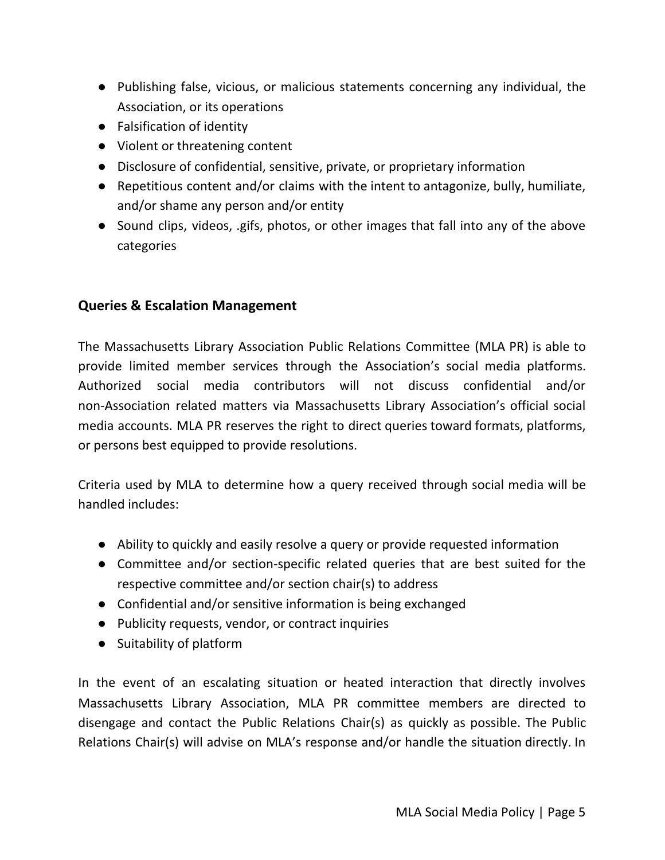- Publishing false, vicious, or malicious statements concerning any individual, the Association, or its operations
- Falsification of identity
- Violent or threatening content
- Disclosure of confidential, sensitive, private, or proprietary information
- Repetitious content and/or claims with the intent to antagonize, bully, humiliate, and/or shame any person and/or entity
- Sound clips, videos, .gifs, photos, or other images that fall into any of the above categories

# **Queries & Escalation Management**

The Massachusetts Library Association Public Relations Committee (MLA PR) is able to provide limited member services through the Association's social media platforms. Authorized social media contributors will not discuss confidential and/or non-Association related matters via Massachusetts Library Association's official social media accounts. MLA PR reserves the right to direct queries toward formats, platforms, or persons best equipped to provide resolutions.

Criteria used by MLA to determine how a query received through social media will be handled includes:

- Ability to quickly and easily resolve a query or provide requested information
- Committee and/or section-specific related queries that are best suited for the respective committee and/or section chair(s) to address
- Confidential and/or sensitive information is being exchanged
- Publicity requests, vendor, or contract inquiries
- Suitability of platform

In the event of an escalating situation or heated interaction that directly involves Massachusetts Library Association, MLA PR committee members are directed to disengage and contact the Public Relations Chair(s) as quickly as possible. The Public Relations Chair(s) will advise on MLA's response and/or handle the situation directly. In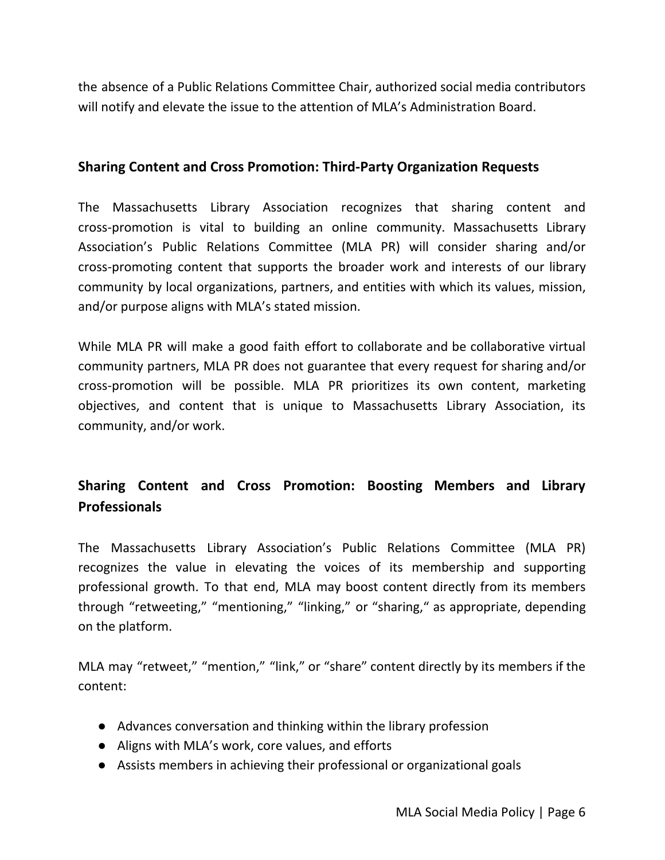the absence of a Public Relations Committee Chair, authorized social media contributors will notify and elevate the issue to the attention of MLA's Administration Board.

#### **Sharing Content and Cross Promotion: Third-Party Organization Requests**

The Massachusetts Library Association recognizes that sharing content and cross-promotion is vital to building an online community. Massachusetts Library Association's Public Relations Committee (MLA PR) will consider sharing and/or cross-promoting content that supports the broader work and interests of our library community by local organizations, partners, and entities with which its values, mission, and/or purpose aligns with MLA's stated mission.

While MLA PR will make a good faith effort to collaborate and be collaborative virtual community partners, MLA PR does not guarantee that every request for sharing and/or cross-promotion will be possible. MLA PR prioritizes its own content, marketing objectives, and content that is unique to Massachusetts Library Association, its community, and/or work.

# **Sharing Content and Cross Promotion: Boosting Members and Library Professionals**

The Massachusetts Library Association's Public Relations Committee (MLA PR) recognizes the value in elevating the voices of its membership and supporting professional growth. To that end, MLA may boost content directly from its members through "retweeting," "mentioning," "linking," or "sharing," as appropriate, depending on the platform.

MLA may "retweet," "mention," "link," or "share" content directly by its members if the content:

- Advances conversation and thinking within the library profession
- Aligns with MLA's work, core values, and efforts
- Assists members in achieving their professional or organizational goals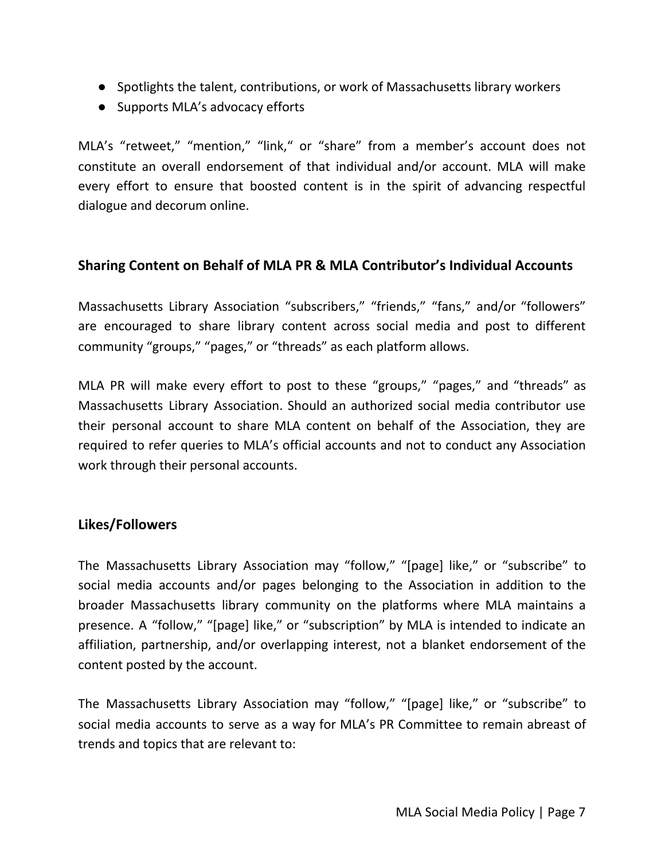- Spotlights the talent, contributions, or work of Massachusetts library workers
- Supports MLA's advocacy efforts

MLA's "retweet," "mention," "link," or "share" from a member's account does not constitute an overall endorsement of that individual and/or account. MLA will make every effort to ensure that boosted content is in the spirit of advancing respectful dialogue and decorum online.

# **Sharing Content on Behalf of MLA PR & MLA Contributor's Individual Accounts**

Massachusetts Library Association "subscribers," "friends," "fans," and/or "followers" are encouraged to share library content across social media and post to different community "groups," "pages," or "threads" as each platform allows.

MLA PR will make every effort to post to these "groups," "pages," and "threads" as Massachusetts Library Association. Should an authorized social media contributor use their personal account to share MLA content on behalf of the Association, they are required to refer queries to MLA's official accounts and not to conduct any Association work through their personal accounts.

# **Likes/Followers**

The Massachusetts Library Association may "follow," "[page] like," or "subscribe" to social media accounts and/or pages belonging to the Association in addition to the broader Massachusetts library community on the platforms where MLA maintains a presence. A "follow," "[page] like," or "subscription" by MLA is intended to indicate an affiliation, partnership, and/or overlapping interest, not a blanket endorsement of the content posted by the account.

The Massachusetts Library Association may "follow," "[page] like," or "subscribe" to social media accounts to serve as a way for MLA's PR Committee to remain abreast of trends and topics that are relevant to: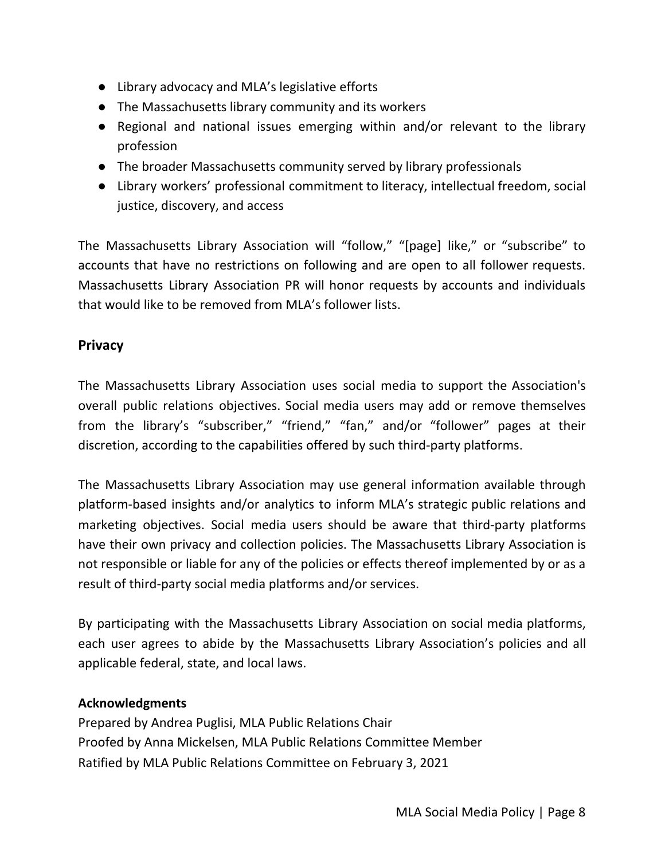- Library advocacy and MLA's legislative efforts
- The Massachusetts library community and its workers
- Regional and national issues emerging within and/or relevant to the library profession
- The broader Massachusetts community served by library professionals
- Library workers' professional commitment to literacy, intellectual freedom, social justice, discovery, and access

The Massachusetts Library Association will "follow," "[page] like," or "subscribe" to accounts that have no restrictions on following and are open to all follower requests. Massachusetts Library Association PR will honor requests by accounts and individuals that would like to be removed from MLA's follower lists.

# **Privacy**

The Massachusetts Library Association uses social media to support the Association's overall public relations objectives. Social media users may add or remove themselves from the library's "subscriber," "friend," "fan," and/or "follower" pages at their discretion, according to the capabilities offered by such third-party platforms.

The Massachusetts Library Association may use general information available through platform-based insights and/or analytics to inform MLA's strategic public relations and marketing objectives. Social media users should be aware that third-party platforms have their own privacy and collection policies. The Massachusetts Library Association is not responsible or liable for any of the policies or effects thereof implemented by or as a result of third-party social media platforms and/or services.

By participating with the Massachusetts Library Association on social media platforms, each user agrees to abide by the Massachusetts Library Association's policies and all applicable federal, state, and local laws.

# **Acknowledgments**

Prepared by Andrea Puglisi, MLA Public Relations Chair Proofed by Anna Mickelsen, MLA Public Relations Committee Member Ratified by MLA Public Relations Committee on February 3, 2021